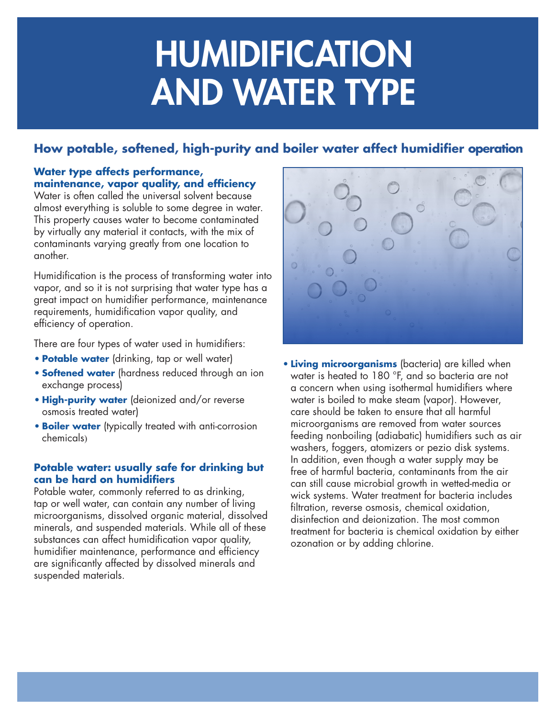# HUMIDIFICATION AND WATER TYPE

## **How potable, softened, high-purity and boiler water affect humidifier operation**

#### **Water type affects performance, maintenance, vapor quality, and efficiency**

Water is often called the universal solvent because almost everything is soluble to some degree in water. This property causes water to become contaminated by virtually any material it contacts, with the mix of contaminants varying greatly from one location to another.

Humidification is the process of transforming water into vapor, and so it is not surprising that water type has a great impact on humidifier performance, maintenance requirements, humidification vapor quality, and efficiency of operation.

There are four types of water used in humidifiers:

- **• Potable water** (drinking, tap or well water)
- **• Softened water** (hardness reduced through an ion exchange process)
- **• High-purity water** (deionized and/or reverse osmosis treated water)
- **• Boiler water** (typically treated with anti-corrosion chemicals)

## **Potable water: usually safe for drinking but can be hard on humidifiers**

Potable water, commonly referred to as drinking, tap or well water, can contain any number of living microorganisms, dissolved organic material, dissolved minerals, and suspended materials. While all of these substances can affect humidification vapor quality, humidifier maintenance, performance and efficiency are significantly affected by dissolved minerals and suspended materials.



**• Living microorganisms** (bacteria) are killed when water is heated to 180 °F, and so bacteria are not a concern when using isothermal humidifiers where water is boiled to make steam (vapor). However, care should be taken to ensure that all harmful microorganisms are removed from water sources feeding nonboiling (adiabatic) humidifiers such as air washers, foggers, atomizers or pezio disk systems. In addition, even though a water supply may be free of harmful bacteria, contaminants from the air can still cause microbial growth in wetted-media or wick systems. Water treatment for bacteria includes filtration, reverse osmosis, chemical oxidation, disinfection and deionization. The most common treatment for bacteria is chemical oxidation by either ozonation or by adding chlorine.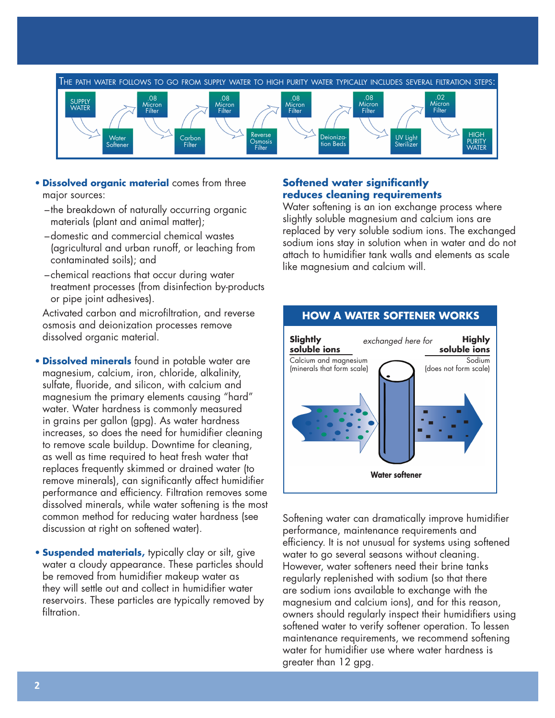

- **• Dissolved organic material** comes from three major sources:
	- –the breakdown of naturally occurring organic materials (plant and animal matter);
	- –domestic and commercial chemical wastes (agricultural and urban runoff, or leaching from contaminated soils); and
	- –chemical reactions that occur during water treatment processes (from disinfection by-products or pipe joint adhesives).

Activated carbon and microfiltration, and reverse osmosis and deionization processes remove dissolved organic material.

- **• Dissolved minerals** found in potable water are magnesium, calcium, iron, chloride, alkalinity, sulfate, fluoride, and silicon, with calcium and magnesium the primary elements causing "hard" water. Water hardness is commonly measured in grains per gallon (gpg). As water hardness increases, so does the need for humidifier cleaning to remove scale buildup. Downtime for cleaning, as well as time required to heat fresh water that replaces frequently skimmed or drained water (to remove minerals), can significantly affect humidifier performance and efficiency. Filtration removes some dissolved minerals, while water softening is the most common method for reducing water hardness (see discussion at right on softened water).
- **• Suspended materials,** typically clay or silt, give water a cloudy appearance. These particles should be removed from humidifier makeup water as they will settle out and collect in humidifier water reservoirs. These particles are typically removed by filtration.

#### **Softened water significantly reduces cleaning requirements**

Water softening is an ion exchange process where slightly soluble magnesium and calcium ions are replaced by very soluble sodium ions. The exchanged sodium ions stay in solution when in water and do not attach to humidifier tank walls and elements as scale like magnesium and calcium will.



Softening water can dramatically improve humidifier performance, maintenance requirements and efficiency. It is not unusual for systems using softened water to go several seasons without cleaning. However, water softeners need their brine tanks regularly replenished with sodium (so that there are sodium ions available to exchange with the magnesium and calcium ions), and for this reason, owners should regularly inspect their humidifiers using softened water to verify softener operation. To lessen maintenance requirements, we recommend softening water for humidifier use where water hardness is greater than 12 gpg.

## **HOW A WATER SOFTENER WORKS**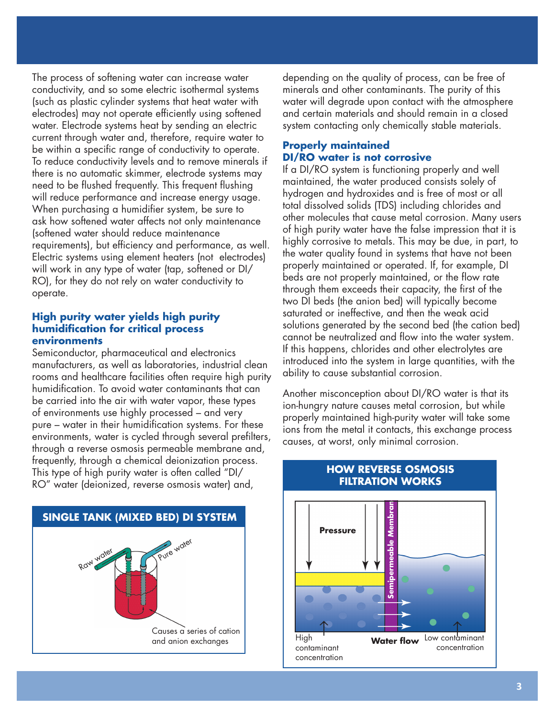The process of softening water can increase water conductivity, and so some electric isothermal systems (such as plastic cylinder systems that heat water with electrodes) may not operate efficiently using softened water. Electrode systems heat by sending an electric current through water and, therefore, require water to be within a specific range of conductivity to operate. To reduce conductivity levels and to remove minerals if there is no automatic skimmer, electrode systems may need to be flushed frequently. This frequent flushing will reduce performance and increase energy usage. When purchasing a humidifier system, be sure to ask how softened water affects not only maintenance (softened water should reduce maintenance requirements), but efficiency and performance, as well. Electric systems using element heaters (not electrodes) will work in any type of water (tap, softened or DI/ RO), for they do not rely on water conductivity to operate.

#### **High purity water yields high purity humidification for critical process environments**

Semiconductor, pharmaceutical and electronics manufacturers, as well as laboratories, industrial clean rooms and healthcare facilities often require high purity humidification. To avoid water contaminants that can be carried into the air with water vapor, these types of environments use highly processed – and very pure – water in their humidification systems. For these environments, water is cycled through several prefilters, through a reverse osmosis permeable membrane and, frequently, through a chemical deionization process. This type of high purity water is often called "DI/ RO" water (deionized, reverse osmosis water) and,



depending on the quality of process, can be free of minerals and other contaminants. The purity of this water will degrade upon contact with the atmosphere and certain materials and should remain in a closed system contacting only chemically stable materials.

#### **Properly maintained DI/RO water is not corrosive**

If a DI/RO system is functioning properly and well maintained, the water produced consists solely of hydrogen and hydroxides and is free of most or all total dissolved solids (TDS) including chlorides and other molecules that cause metal corrosion. Many users of high purity water have the false impression that it is highly corrosive to metals. This may be due, in part, to the water quality found in systems that have not been properly maintained or operated. If, for example, DI beds are not properly maintained, or the flow rate through them exceeds their capacity, the first of the two DI beds (the anion bed) will typically become saturated or ineffective, and then the weak acid solutions generated by the second bed (the cation bed) cannot be neutralized and flow into the water system. If this happens, chlorides and other electrolytes are introduced into the system in large quantities, with the ability to cause substantial corrosion.

Another misconception about DI/RO water is that its ion-hungry nature causes metal corrosion, but while properly maintained high-purity water will take some ions from the metal it contacts, this exchange process causes, at worst, only minimal corrosion.



### **HOW REVERSE OSMOSIS FILTRATION WORKS**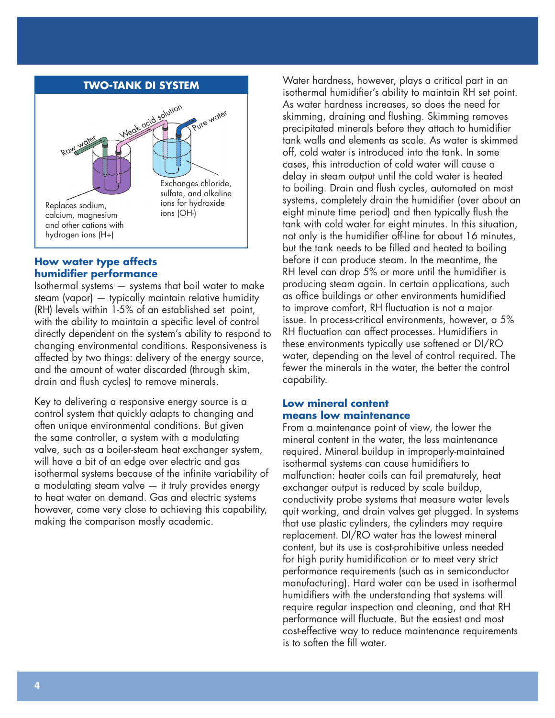#### **TWO-TANK DI SYSTEM**



#### **How water type affects humidifier performance**

Isothermal systems — systems that boil water to make steam (vapor) — typically maintain relative humidity (RH) levels within 1-5% of an established set point, with the ability to maintain a specific level of control directly dependent on the system's ability to respond to changing environmental conditions. Responsiveness is affected by two things: delivery of the energy source, and the amount of water discarded (through skim, drain and flush cycles) to remove minerals.

Key to delivering a responsive energy source is a control system that quickly adapts to changing and often unique environmental conditions. But given the same controller, a system with a modulating valve, such as a boiler-steam heat exchanger system, will have a bit of an edge over electric and gas isothermal systems because of the infinite variability of a modulating steam valve — it truly provides energy to heat water on demand. Gas and electric systems however, come very close to achieving this capability, making the comparison mostly academic.

Water hardness, however, plays a critical part in an isothermal humidifier's ability to maintain RH set point. As water hardness increases, so does the need for skimming, draining and flushing. Skimming removes precipitated minerals before they attach to humidifier tank walls and elements as scale. As water is skimmed off, cold water is introduced into the tank. In some cases, this introduction of cold water will cause a delay in steam output until the cold water is heated to boiling. Drain and flush cycles, automated on most systems, completely drain the humidifier (over about an eight minute time period) and then typically flush the tank with cold water for eight minutes. In this situation, not only is the humidifier off-line for about 16 minutes, but the tank needs to be filled and heated to boiling before it can produce steam. In the meantime, the RH level can drop 5% or more until the humidifier is producing steam again. In certain applications, such as office buildings or other environments humidified to improve comfort, RH fluctuation is not a major issue. In process-critical environments, however, a 5% RH fluctuation can affect processes. Humidifiers in these environments typically use softened or DI/RO water, depending on the level of control required. The fewer the minerals in the water, the better the control capability.

#### **Low mineral content means low maintenance**

From a maintenance point of view, the lower the mineral content in the water, the less maintenance required. Mineral buildup in improperly-maintained isothermal systems can cause humidifiers to malfunction: heater coils can fail prematurely, heat exchanger output is reduced by scale buildup, conductivity probe systems that measure water levels quit working, and drain valves get plugged. In systems that use plastic cylinders, the cylinders may require replacement. DI/RO water has the lowest mineral content, but its use is cost-prohibitive unless needed for high purity humidification or to meet very strict performance requirements (such as in semiconductor manufacturing). Hard water can be used in isothermal humidifiers with the understanding that systems will require regular inspection and cleaning, and that RH performance will fluctuate. But the easiest and most cost-effective way to reduce maintenance requirements is to soften the fill water.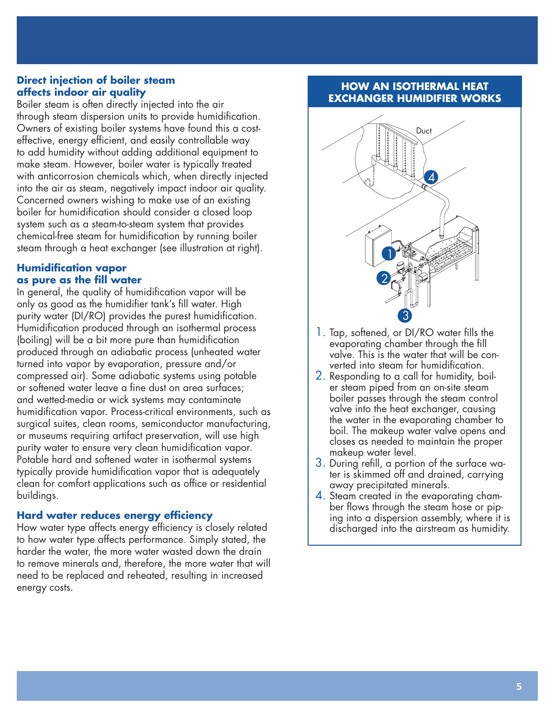#### **Direct injection of boiler steam affects indoor air quality**

Boiler steam is often directly injected into the air through steam dispersion units to provide humidification. Owners of existing boiler systems have found this a costeffective, energy efficient, and easily controllable way to add humidity without adding additional equipment to make steam. However, boiler water is typically treated with anticorrosion chemicals which, when directly injected into the air as steam, negatively impact indoor air quality. Concerned owners wishing to make use of an existing boiler for humidification should consider a closed loop system such as a steam-to-steam system that provides chemical-free steam for humidification by running boiler steam through a heat exchanger (see illustration at right).

## **Humidification vapor as pure as the fill water**

In general, the quality of humidification vapor will be only as good as the humidifier tank's fill water. High purity water (DI/RO) provides the purest humidification. Humidification produced through an isothermal process (boiling) will be a bit more pure than humidification produced through an adiabatic process (unheated water turned into vapor by evaporation, pressure and/or compressed air). Some adiabatic systems using potable or softened water leave a fine dust on area surfaces; and wetted-media or wick systems may contaminate humidification vapor. Process-critical environments, such as surgical suites, clean rooms, semiconductor manufacturing, or museums requiring artifact preservation, will use high purity water to ensure very clean humidification vapor. Potable hard and softened water in isothermal systems typically provide humidification vapor that is adequately clean for comfort applications such as office or residential buildings.

## **Hard water reduces energy efficiency**

How water type affects energy efficiency is closely related to how water type affects performance. Simply stated, the harder the water, the more water wasted down the drain to remove minerals and, therefore, the more water that will need to be replaced and reheated, resulting in increased energy costs.

## **HOW AN ISOTHERMAL HEAT EXCHANGER HUMIDIFIER WORKS**



- 1. Tap, softened, or DI/RO water fills the evaporating chamber through the fill valve. This is the water that will be converted into steam for humidification.
- 2. Responding to a call for humidity, boiler steam piped from an on-site steam boiler passes through the steam control valve into the heat exchanger, causing the water in the evaporating chamber to boil. The makeup water valve opens and closes as needed to maintain the proper makeup water level.
- 3. During refill, a portion of the surface water is skimmed off and drained, carrying away precipitated minerals.
- 4. Steam created in the evaporating chamber flows through the steam hose or piping into a dispersion assembly, where it is discharged into the airstream as humidity.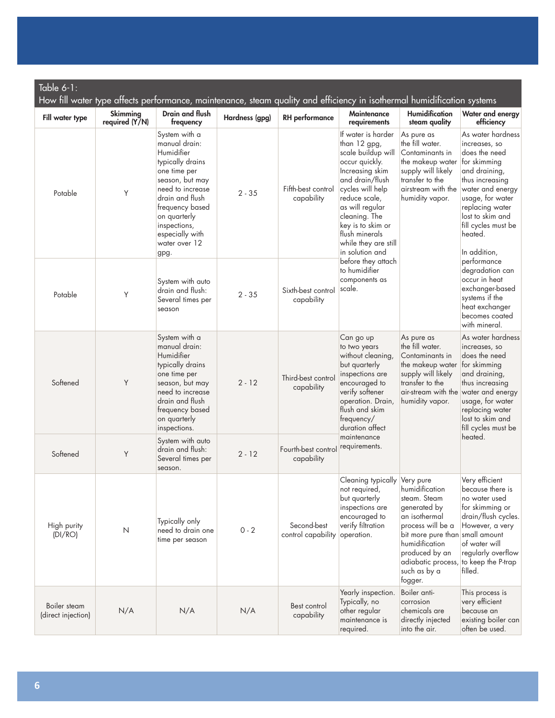| Table 6-1:<br>How fill water type affects performance, maintenance, steam quality and efficiency in isothermal humidification systems |                                   |                                                                                                                                                                                                                                           |                |                                   |                                                                                                                                                                                                                                                                                                                                               |                                                                                                                                                                                                 |                                                                                                                                                                                                                                          |
|---------------------------------------------------------------------------------------------------------------------------------------|-----------------------------------|-------------------------------------------------------------------------------------------------------------------------------------------------------------------------------------------------------------------------------------------|----------------|-----------------------------------|-----------------------------------------------------------------------------------------------------------------------------------------------------------------------------------------------------------------------------------------------------------------------------------------------------------------------------------------------|-------------------------------------------------------------------------------------------------------------------------------------------------------------------------------------------------|------------------------------------------------------------------------------------------------------------------------------------------------------------------------------------------------------------------------------------------|
| Fill water type                                                                                                                       | <b>Skimming</b><br>required (Y/N) | Drain and flush<br>frequency                                                                                                                                                                                                              | Hardness (gpg) | <b>RH</b> performance             | <b>Maintenance</b><br>requirements                                                                                                                                                                                                                                                                                                            | <b>Humidification</b><br>steam quality                                                                                                                                                          | Water and energy<br>efficiency                                                                                                                                                                                                           |
| Potable                                                                                                                               | Y                                 | System with a<br>manual drain:<br>Humidifier<br>typically drains<br>one time per<br>season, but may<br>need to increase<br>drain and flush<br>frequency based<br>on quarterly<br>inspections,<br>especially with<br>water over 12<br>gpg. | $2 - 35$       | Fifth-best control<br>capability  | If water is harder<br>than 12 gpg,<br>scale buildup will<br>occur quickly.<br>Increasing skim<br>and drain/flush<br>cycles will help<br>reduce scale,<br>as will regular<br>cleaning. The<br>key is to skim or<br>flush minerals<br>while they are still<br>in solution and<br>before they attach<br>to humidifier<br>components as<br>scale. | As pure as<br>the fill water.<br>Contaminants in<br>the makeup water<br>supply will likely<br>transfer to the<br>airstream with the<br>humidity vapor.                                          | As water hardness<br>increases, so<br>does the need<br>for skimming<br>and draining,<br>thus increasing<br>water and energy<br>usage, for water<br>replacing water<br>lost to skim and<br>fill cycles must be<br>heated.<br>In addition, |
| Potable                                                                                                                               | Υ                                 | System with auto<br>drain and flush:<br>Several times per<br>season                                                                                                                                                                       | $2 - 35$       | Sixth-best control<br>capability  |                                                                                                                                                                                                                                                                                                                                               |                                                                                                                                                                                                 | performance<br>degradation can<br>occur in heat<br>exchanger-based<br>systems if the<br>heat exchanger<br>becomes coated<br>with mineral.                                                                                                |
| Softened                                                                                                                              | Y                                 | System with a<br>manual drain:<br>Humidifier<br>typically drains<br>one time per<br>season, but may<br>need to increase<br>drain and flush<br>frequency based<br>on quarterly<br>inspections.                                             | $2 - 12$       | Third-best control<br>capability  | Can go up<br>to two years<br>without cleaning,<br>but quarterly<br>inspections are<br>encouraged to<br>verify softener<br>operation. Drain,<br>flush and skim<br>frequency/<br>duration affect<br>maintenance<br>requirements.                                                                                                                | As pure as<br>the fill water.<br>Contaminants in<br>the makeup water<br>supply will likely<br>transfer to the<br>air-stream with the<br>humidity vapor.                                         | As water hardness<br>increases, so<br>does the need<br>for skimming<br>and draining,<br>thus increasing<br>water and energy<br>usage, for water<br>replacing water<br>lost to skim and<br>fill cycles must be<br>heated.                 |
| Softened                                                                                                                              | Υ                                 | System with auto<br>drain and flush:<br>Several times per<br>season.                                                                                                                                                                      | $2 - 12$       | Fourth-best control<br>capability |                                                                                                                                                                                                                                                                                                                                               |                                                                                                                                                                                                 |                                                                                                                                                                                                                                          |
| High purity<br>(DI/RO)                                                                                                                | $\mathsf{N}$                      | Typically only<br>need to drain one<br>time per season                                                                                                                                                                                    | $0 - 2$        | Second-best<br>control capability | Cleaning typically Very pure<br>not required,<br>but quarterly<br>inspections are<br>encouraged to<br>verify filtration<br>operation.                                                                                                                                                                                                         | humidification<br>steam. Steam<br>generated by<br>an isothermal<br>process will be a<br>bit more pure than<br>humidification<br>produced by an<br>adiabatic process,<br>such as by a<br>fogger. | Very efficient<br>because there is<br>no water used<br>for skimming or<br>drain/flush cycles.<br>However, a very<br>small amount<br>of water will<br>regularly overflow<br>to keep the P-trap<br>filled.                                 |
| Boiler steam<br>(direct injection)                                                                                                    | N/A                               | N/A                                                                                                                                                                                                                                       | N/A            | Best control<br>capability        | Yearly inspection.<br>Typically, no<br>other regular<br>maintenance is<br>required.                                                                                                                                                                                                                                                           | Boiler anti-<br>corrosion<br>chemicals are<br>directly injected<br>into the air.                                                                                                                | This process is<br>very efficient<br>because an<br>existing boiler can<br>often be used.                                                                                                                                                 |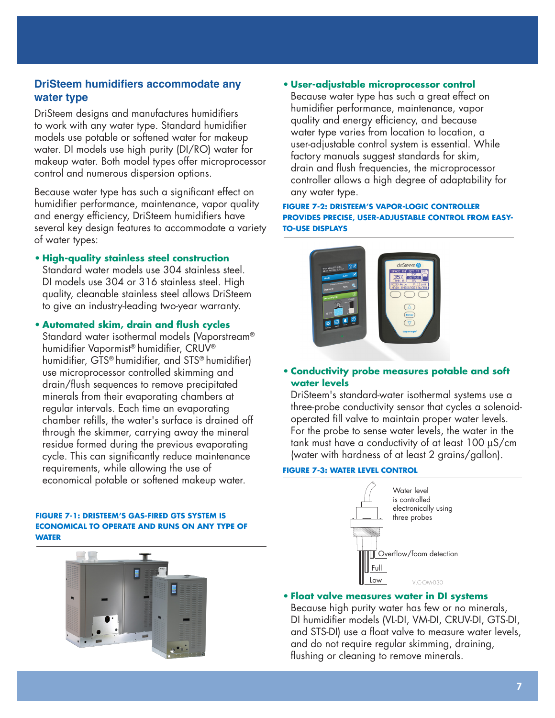## **DriSteem humidifiers accommodate any water type**

DriSteem designs and manufactures humidifiers to work with any water type. Standard humidifier models use potable or softened water for makeup water. DI models use high purity (DI/RO) water for makeup water. Both model types offer microprocessor control and numerous dispersion options.

Because water type has such a significant effect on humidifier performance, maintenance, vapor quality and energy efficiency, DriSteem humidifiers have several key design features to accommodate a variety of water types:

**• High-quality stainless steel construction** Standard water models use 304 stainless steel. DI models use 304 or 316 stainless steel. High quality, cleanable stainless steel allows DriSteem to give an industry-leading two-year warranty.

**• Automated skim, drain and flush cycles** Standard water isothermal models (Vaporstream® humidifier Vapormist® humidifier, CRUV® humidifier, GTS® humidifier, and STS® humidifier) use microprocessor controlled skimming and drain/flush sequences to remove precipitated minerals from their evaporating chambers at regular intervals. Each time an evaporating chamber refills, the water's surface is drained off through the skimmer, carrying away the mineral residue formed during the previous evaporating cycle. This can significantly reduce maintenance requirements, while allowing the use of economical potable or softened makeup water.

#### **FIGURE 7-1: DRISTEEM'S GAS-FIRED GTS SYSTEM IS ECONOMICAL TO OPERATE AND RUNS ON ANY TYPE OF WATER**



#### **• User-adjustable microprocessor control**

Because water type has such a great effect on humidifier performance, maintenance, vapor quality and energy efficiency, and because water type varies from location to location, a user-adjustable control system is essential. While factory manuals suggest standards for skim, drain and flush frequencies, the microprocessor controller allows a high degree of adaptability for any water type.

#### **FIGURE 7-2: DRISTEEM'S VAPOR-LOGIC CONTROLLER PROVIDES PRECISE, USER-ADJUSTABLE CONTROL FROM EASY-TO-USE DISPLAYS**



#### **• Conductivity probe measures potable and soft water levels**

DriSteem's standard-water isothermal systems use a three-probe conductivity sensor that cycles a solenoidoperated fill valve to maintain proper water levels. For the probe to sense water levels, the water in the tank must have a conductivity of at least 100 µS/cm (water with hardness of at least 2 grains/gallon).

#### **FIGURE 7-3: WATER LEVEL CONTROL**



**• Float valve measures water in DI systems**

Because high purity water has few or no minerals, DI humidifier models (VL-DI, VM-DI, CRUV-DI, GTS-DI, and STS-DI) use a float valve to measure water levels, and do not require regular skimming, draining, flushing or cleaning to remove minerals.